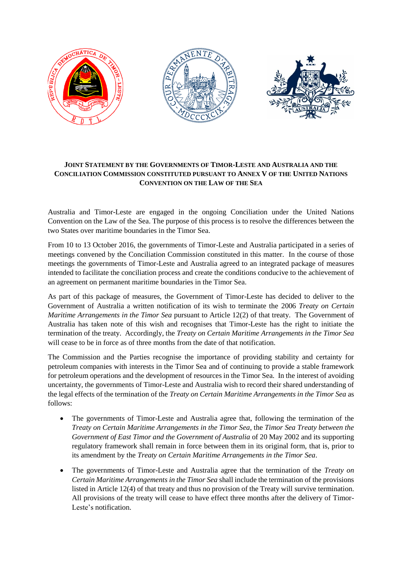

## **JOINT STATEMENT BY THE GOVERNMENTS OF TIMOR-LESTE AND AUSTRALIA AND THE CONCILIATION COMMISSION CONSTITUTED PURSUANT TO ANNEX V OF THE UNITED NATIONS CONVENTION ON THE LAW OF THE SEA**

Australia and Timor-Leste are engaged in the ongoing Conciliation under the United Nations Convention on the Law of the Sea. The purpose of this process is to resolve the differences between the two States over maritime boundaries in the Timor Sea.

From 10 to 13 October 2016, the governments of Timor-Leste and Australia participated in a series of meetings convened by the Conciliation Commission constituted in this matter. In the course of those meetings the governments of Timor-Leste and Australia agreed to an integrated package of measures intended to facilitate the conciliation process and create the conditions conducive to the achievement of an agreement on permanent maritime boundaries in the Timor Sea.

As part of this package of measures, the Government of Timor-Leste has decided to deliver to the Government of Australia a written notification of its wish to terminate the 2006 *Treaty on Certain Maritime Arrangements in the Timor Sea* pursuant to Article 12(2) of that treaty. The Government of Australia has taken note of this wish and recognises that Timor-Leste has the right to initiate the termination of the treaty. Accordingly, the *Treaty on Certain Maritime Arrangements in the Timor Sea* will cease to be in force as of three months from the date of that notification.

The Commission and the Parties recognise the importance of providing stability and certainty for petroleum companies with interests in the Timor Sea and of continuing to provide a stable framework for petroleum operations and the development of resources in the Timor Sea. In the interest of avoiding uncertainty, the governments of Timor-Leste and Australia wish to record their shared understanding of the legal effects of the termination of the *Treaty on Certain Maritime Arrangements in the Timor Sea* as follows:

- The governments of Timor-Leste and Australia agree that, following the termination of the *Treaty on Certain Maritime Arrangements in the Timor Sea*, the *Timor Sea Treaty between the Government of East Timor and the Government of Australia* of 20 May 2002 and its supporting regulatory framework shall remain in force between them in its original form, that is, prior to its amendment by the *Treaty on Certain Maritime Arrangements in the Timor Sea*.
- The governments of Timor-Leste and Australia agree that the termination of the *Treaty on Certain Maritime Arrangements in the Timor Sea* shall include the termination of the provisions listed in Article 12(4) of that treaty and thus no provision of the Treaty will survive termination. All provisions of the treaty will cease to have effect three months after the delivery of Timor-Leste's notification.